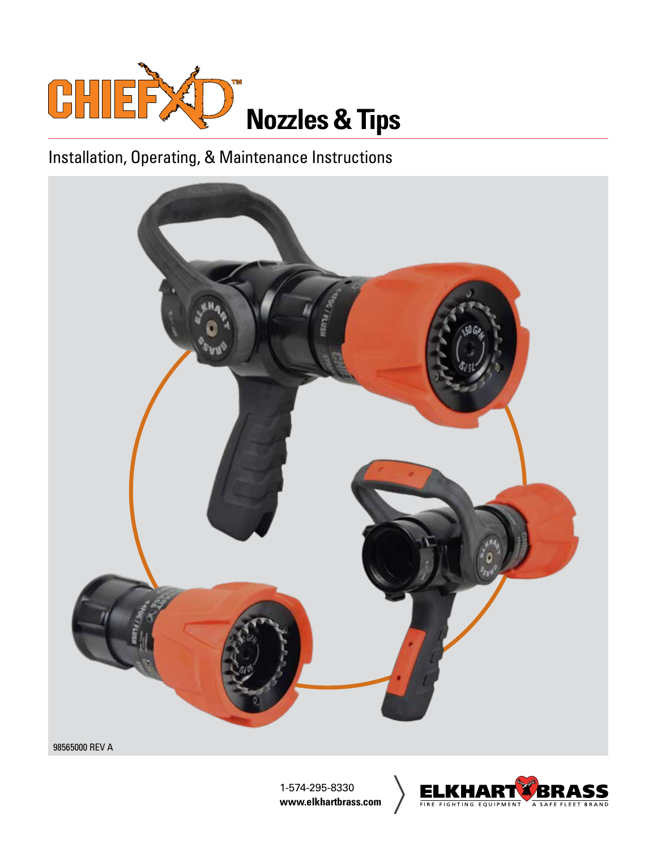

# Installation, Operating, & Maintenance Instructions



98565000 REV A

1-574-295-8330 **www.elkhartbrass.com**

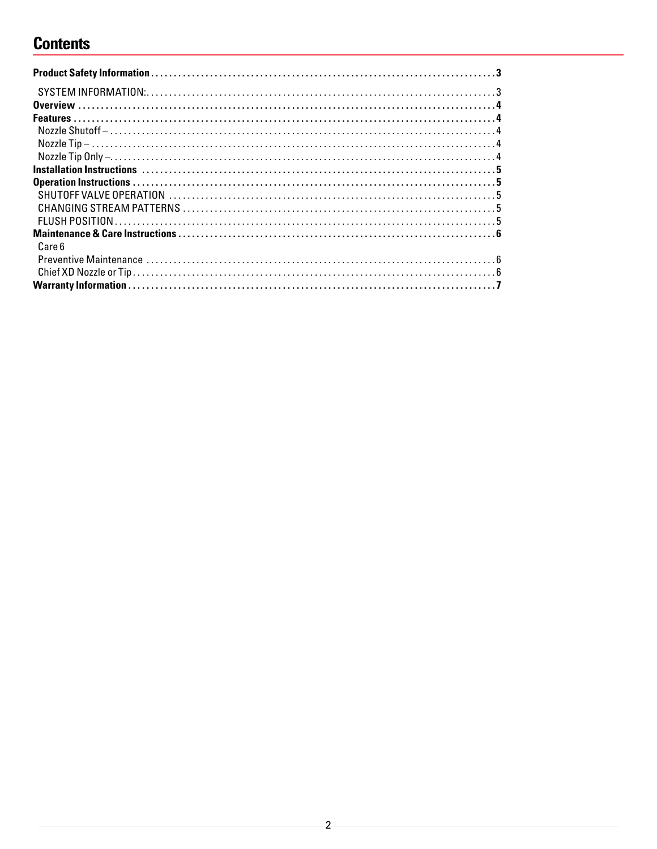## **Contents**

| Care 6 |  |
|--------|--|
|        |  |
|        |  |
|        |  |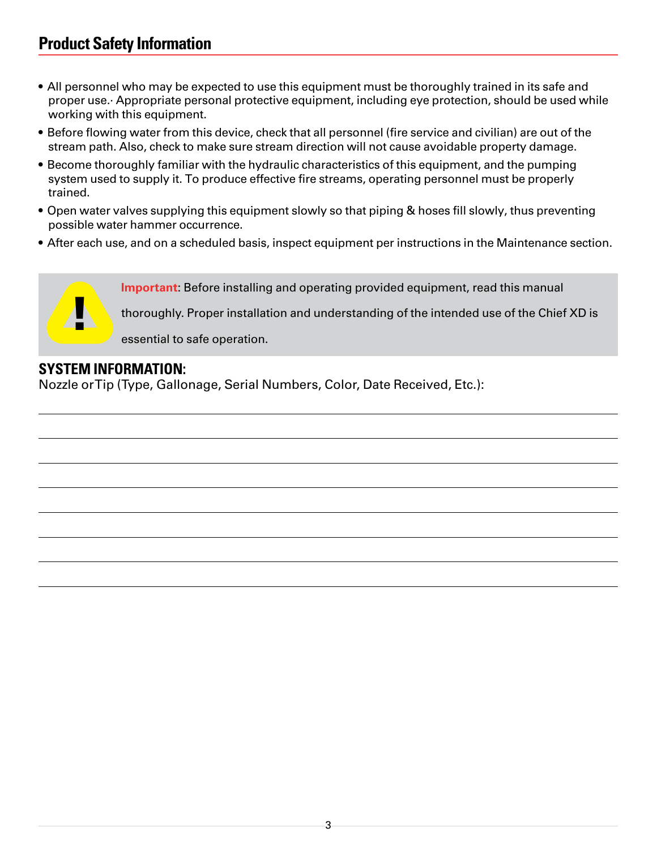## <span id="page-2-0"></span>**Product Safety Information**

- All personnel who may be expected to use this equipment must be thoroughly trained in its safe and proper use.· Appropriate personal protective equipment, including eye protection, should be used while working with this equipment.
- Before flowing water from this device, check that all personnel (fire service and civilian) are out of the stream path. Also, check to make sure stream direction will not cause avoidable property damage.
- Become thoroughly familiar with the hydraulic characteristics of this equipment, and the pumping system used to supply it. To produce effective fire streams, operating personnel must be properly trained.
- Open water valves supplying this equipment slowly so that piping & hoses fill slowly, thus preventing possible water hammer occurrence.
- After each use, and on a scheduled basis, inspect equipment per instructions in the Maintenance section.



#### **SYSTEM INFORMATION:**

Nozzle or Tip (Type, Gallonage, Serial Numbers, Color, Date Received, Etc.):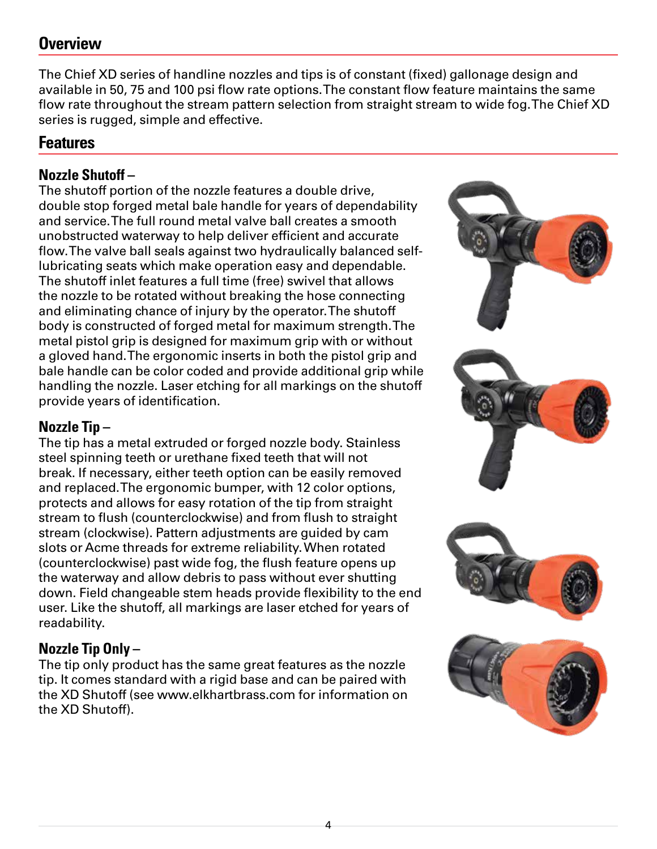## <span id="page-3-0"></span>**Overview**

The Chief XD series of handline nozzles and tips is of constant (fixed) gallonage design and available in 50, 75 and 100 psi flow rate options. The constant flow feature maintains the same flow rate throughout the stream pattern selection from straight stream to wide fog. The Chief XD series is rugged, simple and effective.

### **Features**

### **Nozzle Shutoff –**

The shutoff portion of the nozzle features a double drive, double stop forged metal bale handle for years of dependability and service. The full round metal valve ball creates a smooth unobstructed waterway to help deliver efficient and accurate flow. The valve ball seals against two hydraulically balanced selflubricating seats which make operation easy and dependable. The shutoff inlet features a full time (free) swivel that allows the nozzle to be rotated without breaking the hose connecting and eliminating chance of injury by the operator. The shutoff body is constructed of forged metal for maximum strength. The metal pistol grip is designed for maximum grip with or without a gloved hand. The ergonomic inserts in both the pistol grip and bale handle can be color coded and provide additional grip while handling the nozzle. Laser etching for all markings on the shutoff provide years of identification.

### **Nozzle Tip –**

The tip has a metal extruded or forged nozzle body. Stainless steel spinning teeth or urethane fixed teeth that will not break. If necessary, either teeth option can be easily removed and replaced. The ergonomic bumper, with 12 color options, protects and allows for easy rotation of the tip from straight stream to flush (counterclockwise) and from flush to straight stream (clockwise). Pattern adjustments are guided by cam slots or Acme threads for extreme reliability. When rotated (counterclockwise) past wide fog, the flush feature opens up the waterway and allow debris to pass without ever shutting down. Field changeable stem heads provide flexibility to the end user. Like the shutoff, all markings are laser etched for years of readability.

### **Nozzle Tip Only –**

The tip only product has the same great features as the nozzle tip. It comes standard with a rigid base and can be paired with the XD Shutoff (see www.elkhartbrass.com for information on the XD Shutoff).

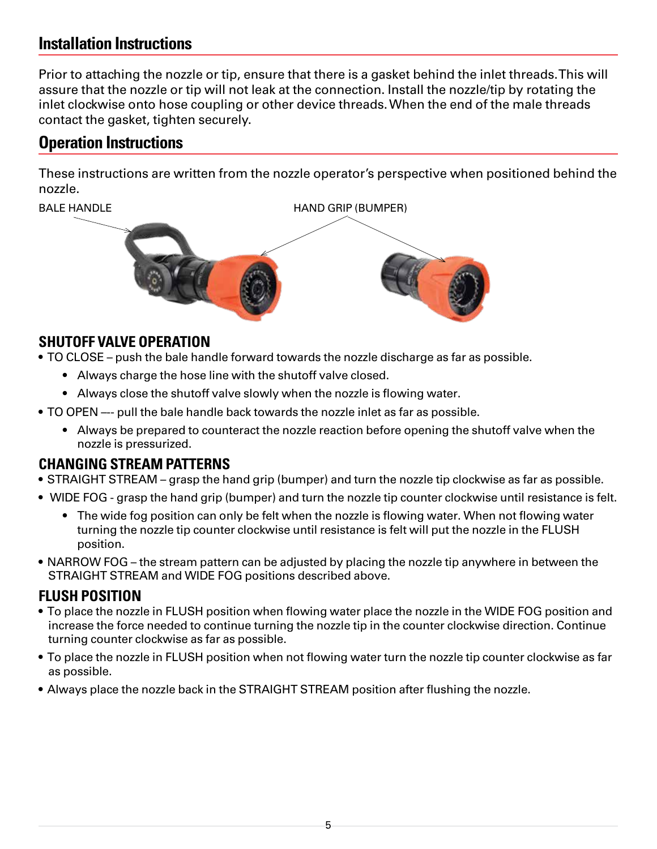## <span id="page-4-0"></span>**Installation Instructions**

Prior to attaching the nozzle or tip, ensure that there is a gasket behind the inlet threads. This will assure that the nozzle or tip will not leak at the connection. Install the nozzle/tip by rotating the inlet clockwise onto hose coupling or other device threads. When the end of the male threads contact the gasket, tighten securely.

## **Operation Instructions**

These instructions are written from the nozzle operator's perspective when positioned behind the nozzle.



#### **SHUTOFF VALVE OPERATION**

• TO CLOSE – push the bale handle forward towards the nozzle discharge as far as possible.

- Always charge the hose line with the shutoff valve closed.
- Always close the shutoff valve slowly when the nozzle is flowing water.
- TO OPEN –-- pull the bale handle back towards the nozzle inlet as far as possible.
	- Always be prepared to counteract the nozzle reaction before opening the shutoff valve when the nozzle is pressurized.

#### **CHANGING STREAM PATTERNS**

- STRAIGHT STREAM grasp the hand grip (bumper) and turn the nozzle tip clockwise as far as possible.
- WIDE FOG grasp the hand grip (bumper) and turn the nozzle tip counter clockwise until resistance is felt.
	- The wide fog position can only be felt when the nozzle is flowing water. When not flowing water turning the nozzle tip counter clockwise until resistance is felt will put the nozzle in the FLUSH position.
- NARROW FOG the stream pattern can be adjusted by placing the nozzle tip anywhere in between the STRAIGHT STREAM and WIDE FOG positions described above.

## **FLUSH POSITION**

- To place the nozzle in FLUSH position when flowing water place the nozzle in the WIDE FOG position and increase the force needed to continue turning the nozzle tip in the counter clockwise direction. Continue turning counter clockwise as far as possible.
- To place the nozzle in FLUSH position when not flowing water turn the nozzle tip counter clockwise as far as possible.
- Always place the nozzle back in the STRAIGHT STREAM position after flushing the nozzle.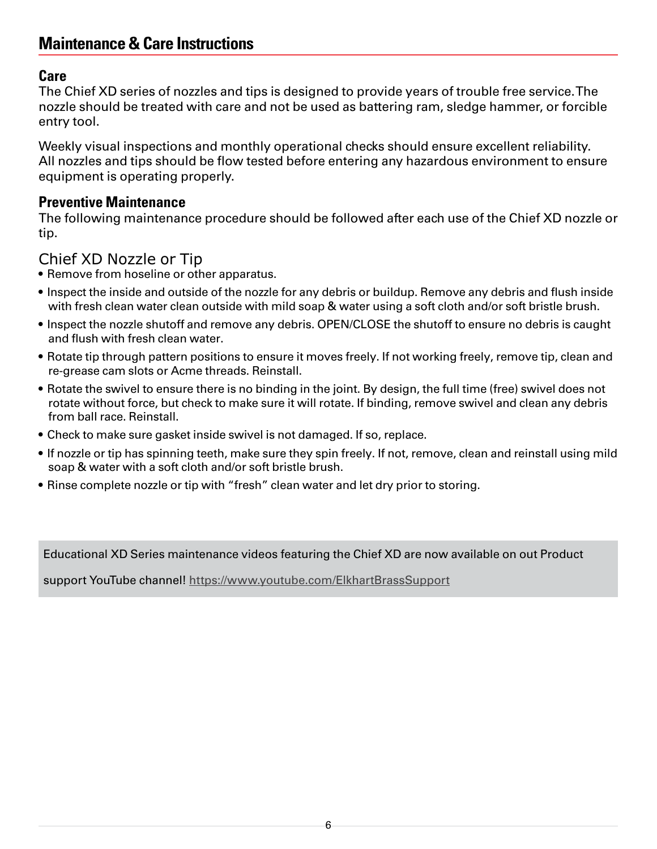## <span id="page-5-0"></span>**Maintenance & Care Instructions**

#### **Care**

The Chief XD series of nozzles and tips is designed to provide years of trouble free service. The nozzle should be treated with care and not be used as battering ram, sledge hammer, or forcible entry tool.

Weekly visual inspections and monthly operational checks should ensure excellent reliability. All nozzles and tips should be flow tested before entering any hazardous environment to ensure equipment is operating properly.

#### **Preventive Maintenance**

The following maintenance procedure should be followed after each use of the Chief XD nozzle or tip.

#### Chief XD Nozzle or Tip

- Remove from hoseline or other apparatus.
- Inspect the inside and outside of the nozzle for any debris or buildup. Remove any debris and flush inside with fresh clean water clean outside with mild soap & water using a soft cloth and/or soft bristle brush.
- Inspect the nozzle shutoff and remove any debris. OPEN/CLOSE the shutoff to ensure no debris is caught and flush with fresh clean water.
- Rotate tip through pattern positions to ensure it moves freely. If not working freely, remove tip, clean and re-grease cam slots or Acme threads. Reinstall.
- Rotate the swivel to ensure there is no binding in the joint. By design, the full time (free) swivel does not rotate without force, but check to make sure it will rotate. If binding, remove swivel and clean any debris from ball race. Reinstall.
- Check to make sure gasket inside swivel is not damaged. If so, replace.
- If nozzle or tip has spinning teeth, make sure they spin freely. If not, remove, clean and reinstall using mild soap & water with a soft cloth and/or soft bristle brush.
- Rinse complete nozzle or tip with "fresh" clean water and let dry prior to storing.

Educational XD Series maintenance videos featuring the Chief XD are now available on out Product

support YouTube channel!<https://www.youtube.com/ElkhartBrassSupport>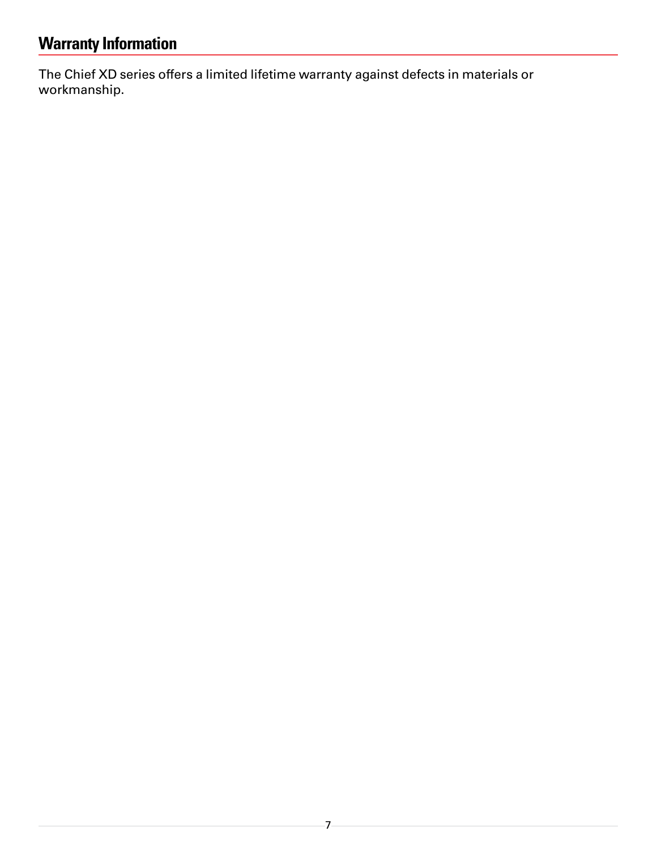# <span id="page-6-0"></span>**Warranty Information**

The Chief XD series offers a limited lifetime warranty against defects in materials or workmanship.